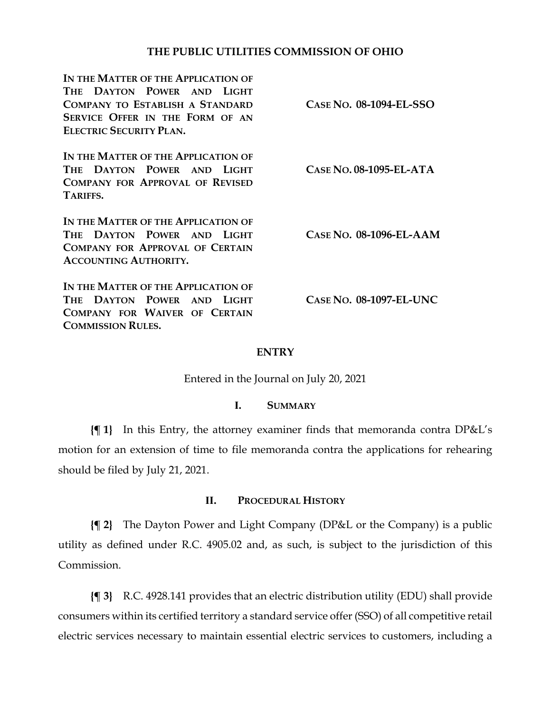## **THE PUBLIC UTILITIES COMMISSION OF OHIO**

| IN THE MATTER OF THE APPLICATION OF<br>THE DAYTON POWER AND LIGHT<br><b>COMPANY TO ESTABLISH A STANDARD</b><br><b>SERVICE OFFER IN THE FORM OF AN</b><br><b>ELECTRIC SECURITY PLAN.</b> | CASE NO. 08-1094-EL-SSO   |
|-----------------------------------------------------------------------------------------------------------------------------------------------------------------------------------------|---------------------------|
| IN THE MATTER OF THE APPLICATION OF<br>THE DAYTON POWER AND LIGHT<br><b>COMPANY FOR APPROVAL OF REVISED</b><br>TARIFFS.                                                                 | $CASE No. 08-1095-EL-ATA$ |
| IN THE MATTER OF THE APPLICATION OF<br>THE DAYTON POWER AND LIGHT<br><b>COMPANY FOR APPROVAL OF CERTAIN</b><br><b>ACCOUNTING AUTHORITY.</b>                                             | CASE NO. 08-1096-EL-AAM   |
| IN THE MATTER OF THE APPLICATION OF<br>THE DAYTON POWER AND LIGHT<br>COMPANY FOR WAIVER OF CERTAIN<br><b>COMMISSION RULES.</b>                                                          | $CASE No. 08-1097-EL-UNC$ |

### **ENTRY**

Entered in the Journal on July 20, 2021

#### **I. SUMMARY**

**{¶ 1}** In this Entry, the attorney examiner finds that memoranda contra DP&L's motion for an extension of time to file memoranda contra the applications for rehearing should be filed by July 21, 2021.

### **II. PROCEDURAL HISTORY**

**{¶ 2}** The Dayton Power and Light Company (DP&L or the Company) is a public utility as defined under R.C. 4905.02 and, as such, is subject to the jurisdiction of this Commission.

**{¶ 3}** R.C. 4928.141 provides that an electric distribution utility (EDU) shall provide consumers within its certified territory a standard service offer (SSO) of all competitive retail electric services necessary to maintain essential electric services to customers, including a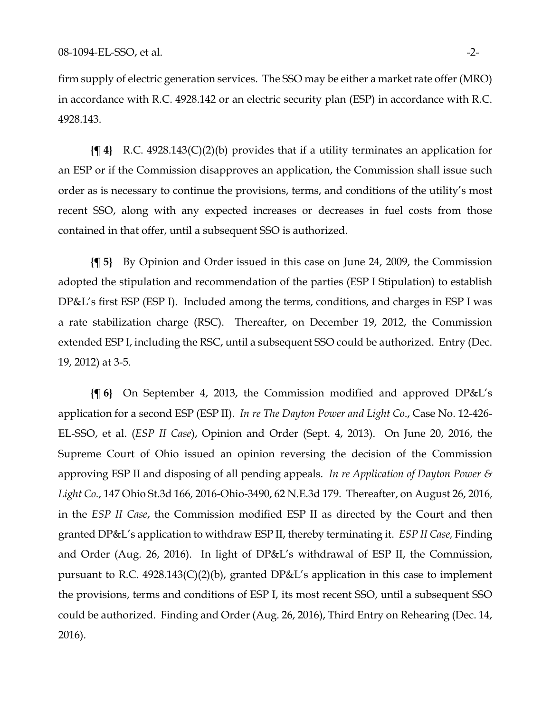firm supply of electric generation services. The SSO may be either a market rate offer (MRO) in accordance with R.C. 4928.142 or an electric security plan (ESP) in accordance with R.C. 4928.143.

**{¶ 4}** R.C. 4928.143(C)(2)(b) provides that if a utility terminates an application for an ESP or if the Commission disapproves an application, the Commission shall issue such order as is necessary to continue the provisions, terms, and conditions of the utility's most recent SSO, along with any expected increases or decreases in fuel costs from those contained in that offer, until a subsequent SSO is authorized.

**{¶ 5}** By Opinion and Order issued in this case on June 24, 2009, the Commission adopted the stipulation and recommendation of the parties (ESP I Stipulation) to establish DP&L's first ESP (ESP I). Included among the terms, conditions, and charges in ESP I was a rate stabilization charge (RSC). Thereafter, on December 19, 2012, the Commission extended ESP I, including the RSC, until a subsequent SSO could be authorized. Entry (Dec. 19, 2012) at 3-5.

**{¶ 6}** On September 4, 2013, the Commission modified and approved DP&L's application for a second ESP (ESP II). *In re The Dayton Power and Light Co*., Case No. 12-426- EL-SSO, et al. (*ESP II Case*), Opinion and Order (Sept. 4, 2013). On June 20, 2016, the Supreme Court of Ohio issued an opinion reversing the decision of the Commission approving ESP II and disposing of all pending appeals. *In re Application of Dayton Power & Light Co.*, 147 Ohio St.3d 166, 2016-Ohio-3490, 62 N.E.3d 179. Thereafter, on August 26, 2016, in the *ESP II Case*, the Commission modified ESP II as directed by the Court and then granted DP&L's application to withdraw ESP II, thereby terminating it. *ESP II Case,* Finding and Order (Aug. 26, 2016). In light of DP&L's withdrawal of ESP II, the Commission, pursuant to R.C. 4928.143(C)(2)(b), granted DP&L's application in this case to implement the provisions, terms and conditions of ESP I, its most recent SSO, until a subsequent SSO could be authorized. Finding and Order (Aug. 26, 2016), Third Entry on Rehearing (Dec. 14, 2016).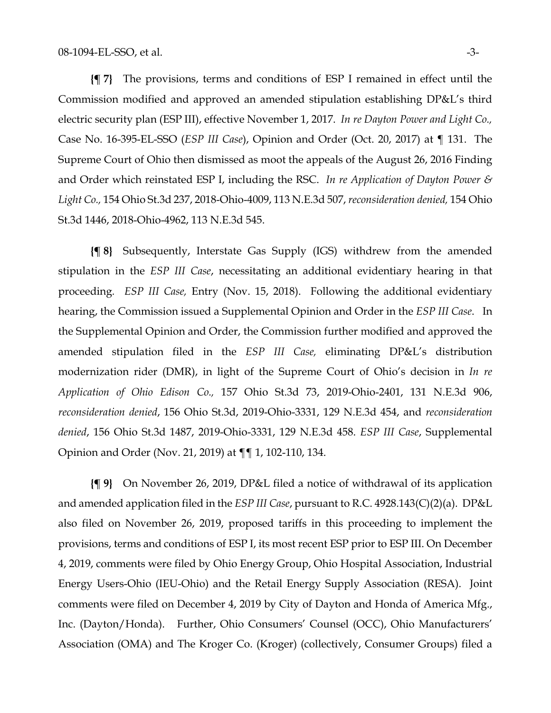**{¶ 7}** The provisions, terms and conditions of ESP I remained in effect until the Commission modified and approved an amended stipulation establishing DP&L's third electric security plan (ESP III), effective November 1, 2017. *In re Dayton Power and Light Co.,* Case No. 16-395-EL-SSO (*ESP III Case*), Opinion and Order (Oct. 20, 2017) at ¶ 131. The Supreme Court of Ohio then dismissed as moot the appeals of the August 26, 2016 Finding and Order which reinstated ESP I, including the RSC. *In re Application of Dayton Power & Light Co.,* 154 Ohio St.3d 237, 2018-Ohio-4009, 113 N.E.3d 507, *reconsideration denied,* 154 Ohio St.3d 1446, 2018-Ohio-4962, 113 N.E.3d 545.

**{¶ 8}** Subsequently, Interstate Gas Supply (IGS) withdrew from the amended stipulation in the *ESP III Case*, necessitating an additional evidentiary hearing in that proceeding*. ESP III Case,* Entry (Nov. 15, 2018). Following the additional evidentiary hearing, the Commission issued a Supplemental Opinion and Order in the *ESP III Case*. In the Supplemental Opinion and Order, the Commission further modified and approved the amended stipulation filed in the *ESP III Case,* eliminating DP&L's distribution modernization rider (DMR), in light of the Supreme Court of Ohio's decision in *In re Application of Ohio Edison Co.,* 157 Ohio St.3d 73, 2019-Ohio-2401, 131 N.E.3d 906, *reconsideration denied*, 156 Ohio St.3d, 2019-Ohio-3331, 129 N.E.3d 454, and *reconsideration denied*, 156 Ohio St.3d 1487, 2019-Ohio-3331, 129 N.E.3d 458. *ESP III Case*, Supplemental Opinion and Order (Nov. 21, 2019) at ¶¶ 1, 102-110, 134.

**{¶ 9}** On November 26, 2019, DP&L filed a notice of withdrawal of its application and amended application filed in the *ESP III Case*, pursuant to R.C. 4928.143(C)(2)(a). DP&L also filed on November 26, 2019, proposed tariffs in this proceeding to implement the provisions, terms and conditions of ESP I, its most recent ESP prior to ESP III. On December 4, 2019, comments were filed by Ohio Energy Group, Ohio Hospital Association, Industrial Energy Users-Ohio (IEU-Ohio) and the Retail Energy Supply Association (RESA). Joint comments were filed on December 4, 2019 by City of Dayton and Honda of America Mfg., Inc. (Dayton/Honda). Further, Ohio Consumers' Counsel (OCC), Ohio Manufacturers' Association (OMA) and The Kroger Co. (Kroger) (collectively, Consumer Groups) filed a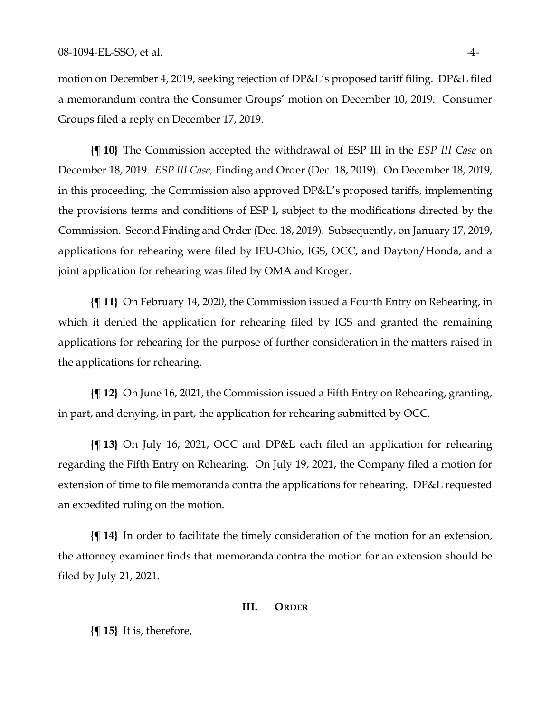motion on December 4, 2019, seeking rejection of DP&L's proposed tariff filing. DP&L filed a memorandum contra the Consumer Groups' motion on December 10, 2019. Consumer Groups filed a reply on December 17, 2019.

**{¶ 10}** The Commission accepted the withdrawal of ESP III in the *ESP III Case* on December 18, 2019. *ESP III Case,* Finding and Order (Dec. 18, 2019). On December 18, 2019, in this proceeding, the Commission also approved DP&L's proposed tariffs, implementing the provisions terms and conditions of ESP I, subject to the modifications directed by the Commission. Second Finding and Order (Dec. 18, 2019). Subsequently, on January 17, 2019, applications for rehearing were filed by IEU-Ohio, IGS, OCC, and Dayton/Honda, and a joint application for rehearing was filed by OMA and Kroger.

**{¶ 11}** On February 14, 2020, the Commission issued a Fourth Entry on Rehearing, in which it denied the application for rehearing filed by IGS and granted the remaining applications for rehearing for the purpose of further consideration in the matters raised in the applications for rehearing.

**{¶ 12}** On June 16, 2021, the Commission issued a Fifth Entry on Rehearing, granting, in part, and denying, in part, the application for rehearing submitted by OCC.

**{¶ 13}** On July 16, 2021, OCC and DP&L each filed an application for rehearing regarding the Fifth Entry on Rehearing. On July 19, 2021, the Company filed a motion for extension of time to file memoranda contra the applications for rehearing. DP&L requested an expedited ruling on the motion.

**{¶ 14}** In order to facilitate the timely consideration of the motion for an extension, the attorney examiner finds that memoranda contra the motion for an extension should be filed by July 21, 2021.

#### **III. ORDER**

**{¶ 15}** It is, therefore,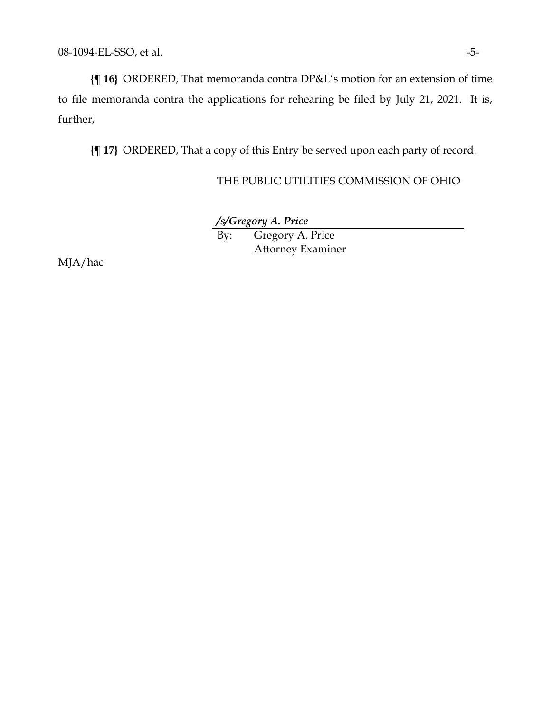**{¶ 16}** ORDERED, That memoranda contra DP&L's motion for an extension of time to file memoranda contra the applications for rehearing be filed by July 21, 2021. It is, further,

**{¶ 17}** ORDERED, That a copy of this Entry be served upon each party of record.

## THE PUBLIC UTILITIES COMMISSION OF OHIO

*/s/Gregory A. Price* By: Gregory A. Price

Attorney Examiner

MJA/hac